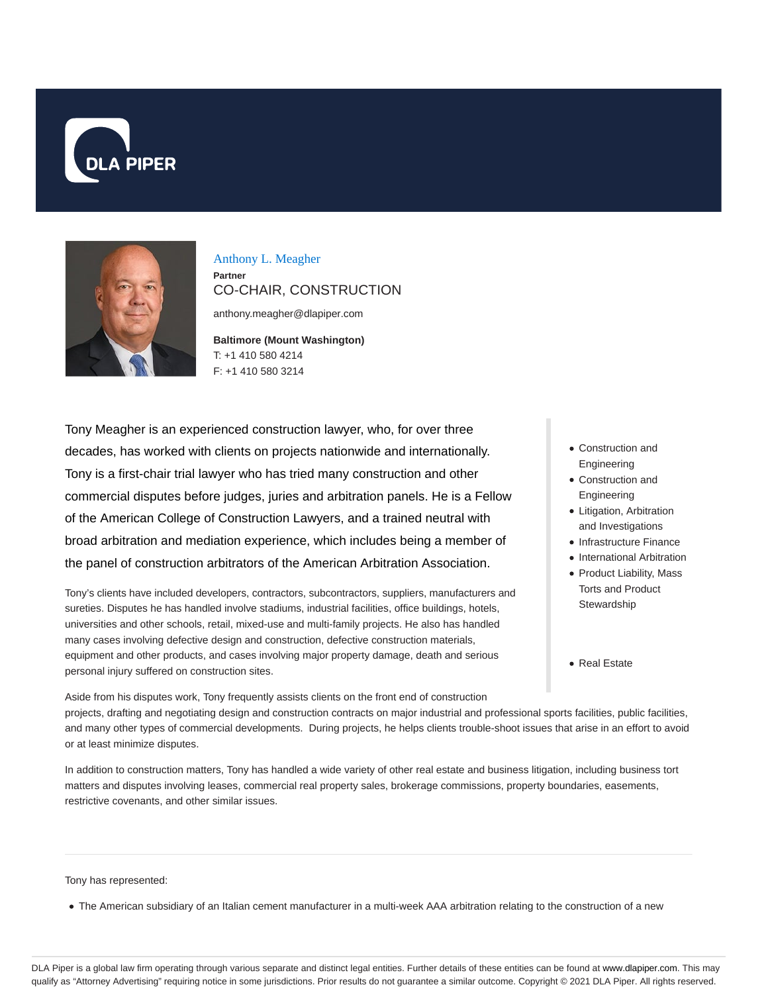



Anthony L. Meagher **Partner** CO-CHAIR, CONSTRUCTION

anthony.meagher@dlapiper.com

**Baltimore (Mount Washington)** T: +1 410 580 4214 F: +1 410 580 3214

Tony Meagher is an experienced construction lawyer, who, for over three decades, has worked with clients on projects nationwide and internationally. Tony is a first-chair trial lawyer who has tried many construction and other commercial disputes before judges, juries and arbitration panels. He is a Fellow of the American College of Construction Lawyers, and a trained neutral with broad arbitration and mediation experience, which includes being a member of the panel of construction arbitrators of the American Arbitration Association.

Tony's clients have included developers, contractors, subcontractors, suppliers, manufacturers and sureties. Disputes he has handled involve stadiums, industrial facilities, office buildings, hotels, universities and other schools, retail, mixed-use and multi-family projects. He also has handled many cases involving defective design and construction, defective construction materials, equipment and other products, and cases involving major property damage, death and serious personal injury suffered on construction sites.

- Construction and Engineering
- Construction and Engineering
- Litigation, Arbitration and Investigations
- Infrastructure Finance
- International Arbitration
- Product Liability, Mass Torts and Product **Stewardship**
- Real Estate

Aside from his disputes work, Tony frequently assists clients on the front end of construction projects, drafting and negotiating design and construction contracts on major industrial and professional sports facilities, public facilities, and many other types of commercial developments. During projects, he helps clients trouble-shoot issues that arise in an effort to avoid or at least minimize disputes.

In addition to construction matters, Tony has handled a wide variety of other real estate and business litigation, including business tort matters and disputes involving leases, commercial real property sales, brokerage commissions, property boundaries, easements, restrictive covenants, and other similar issues.

#### Tony has represented:

The American subsidiary of an Italian cement manufacturer in a multi-week AAA arbitration relating to the construction of a new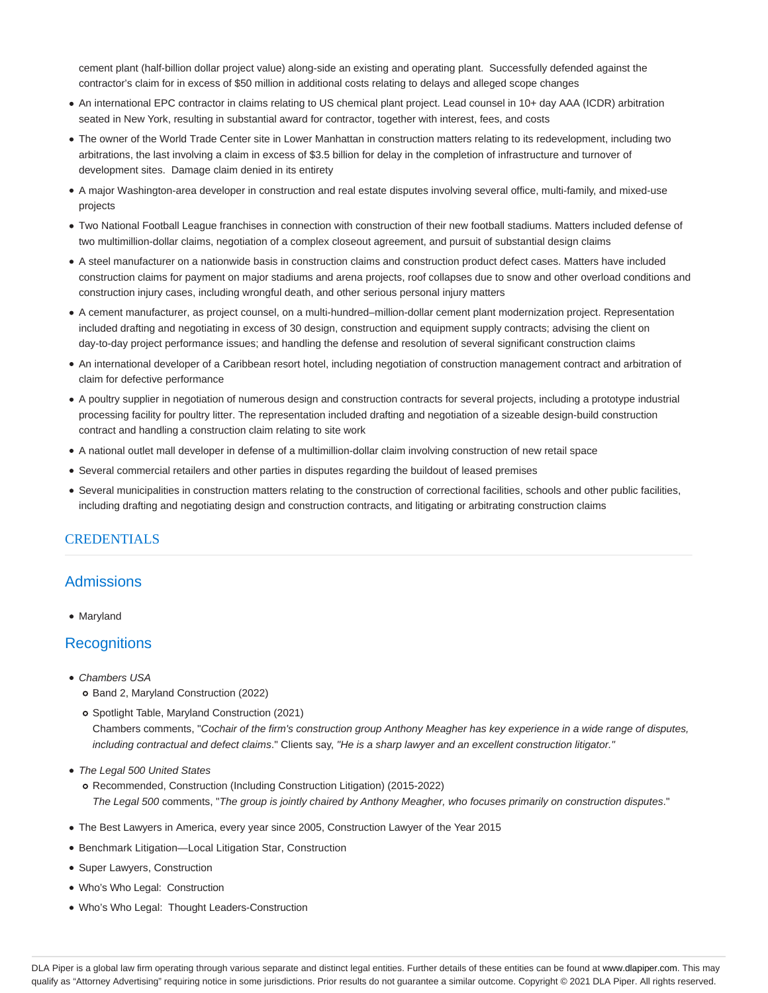cement plant (half-billion dollar project value) along-side an existing and operating plant. Successfully defended against the contractor's claim for in excess of \$50 million in additional costs relating to delays and alleged scope changes

- An international EPC contractor in claims relating to US chemical plant project. Lead counsel in 10+ day AAA (ICDR) arbitration seated in New York, resulting in substantial award for contractor, together with interest, fees, and costs
- The owner of the World Trade Center site in Lower Manhattan in construction matters relating to its redevelopment, including two arbitrations, the last involving a claim in excess of \$3.5 billion for delay in the completion of infrastructure and turnover of development sites. Damage claim denied in its entirety
- A major Washington-area developer in construction and real estate disputes involving several office, multi-family, and mixed-use projects
- Two National Football League franchises in connection with construction of their new football stadiums. Matters included defense of two multimillion-dollar claims, negotiation of a complex closeout agreement, and pursuit of substantial design claims
- A steel manufacturer on a nationwide basis in construction claims and construction product defect cases. Matters have included construction claims for payment on major stadiums and arena projects, roof collapses due to snow and other overload conditions and construction injury cases, including wrongful death, and other serious personal injury matters
- A cement manufacturer, as project counsel, on a multi-hundred–million-dollar cement plant modernization project. Representation included drafting and negotiating in excess of 30 design, construction and equipment supply contracts; advising the client on day-to-day project performance issues; and handling the defense and resolution of several significant construction claims
- An international developer of a Caribbean resort hotel, including negotiation of construction management contract and arbitration of claim for defective performance
- A poultry supplier in negotiation of numerous design and construction contracts for several projects, including a prototype industrial processing facility for poultry litter. The representation included drafting and negotiation of a sizeable design-build construction contract and handling a construction claim relating to site work
- A national outlet mall developer in defense of a multimillion-dollar claim involving construction of new retail space
- Several commercial retailers and other parties in disputes regarding the buildout of leased premises
- Several municipalities in construction matters relating to the construction of correctional facilities, schools and other public facilities, including drafting and negotiating design and construction contracts, and litigating or arbitrating construction claims

#### **CREDENTIALS**

# Admissions

• Marvland

### **Recognitions**

- Chambers USA
	- o Band 2, Maryland Construction (2022)

Spotlight Table, Maryland Construction (2021) Chambers comments, "Cochair of the firm's construction group Anthony Meagher has key experience in a wide range of disputes, including contractual and defect claims." Clients say, "He is a sharp lawyer and an excellent construction litigator."

- The Legal 500 United States
	- Recommended, Construction (Including Construction Litigation) (2015-2022) The Legal 500 comments, "The group is jointly chaired by Anthony Meagher, who focuses primarily on construction disputes."
- The Best Lawyers in America, every year since 2005, Construction Lawyer of the Year 2015
- Benchmark Litigation—Local Litigation Star, Construction
- Super Lawyers, Construction
- Who's Who Legal: Construction
- Who's Who Legal: Thought Leaders-Construction